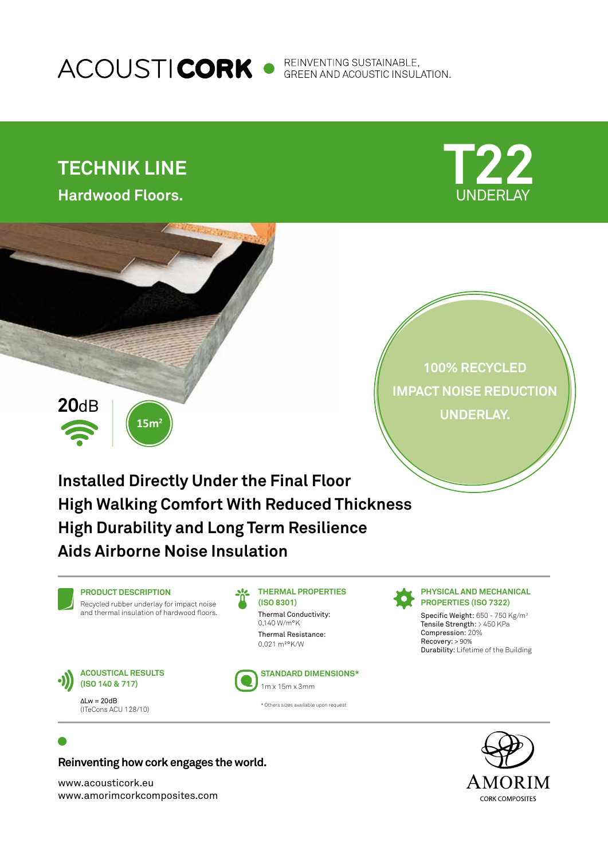

# **TECHNIK LINE**

**Hardwood Floors.**





# **Reinventing how cork engages the world.**

www.acousticork.eu www.amorimcorkcomposites.com